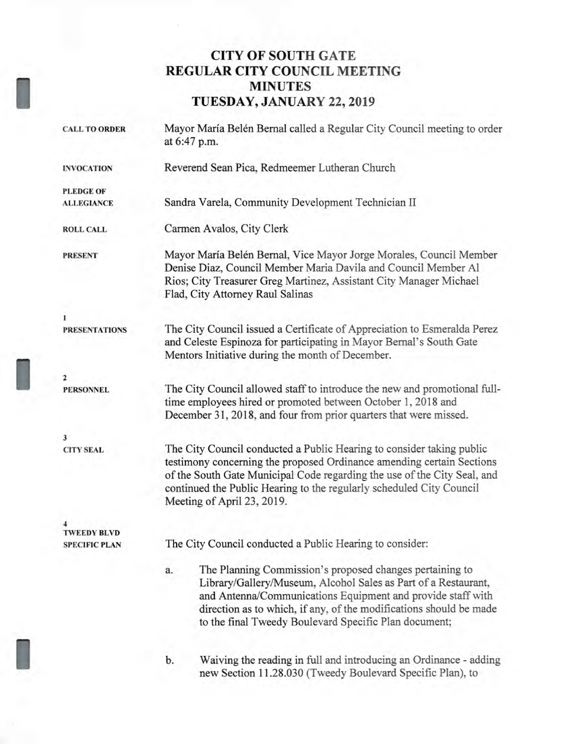# **CITY OF SOUTH GATE REGULAR CITY COUNCIL MEETING MINUTES TUESDAY, JANUARY 22, 2019**

I

| <b>CALL TO ORDER</b>                       | Mayor María Belén Bernal called a Regular City Council meeting to order<br>at 6:47 p.m.                                                                                                                                                                                                                                          |
|--------------------------------------------|----------------------------------------------------------------------------------------------------------------------------------------------------------------------------------------------------------------------------------------------------------------------------------------------------------------------------------|
| <b>INVOCATION</b>                          | Reverend Sean Pica, Redmeemer Lutheran Church                                                                                                                                                                                                                                                                                    |
| <b>PLEDGE OF</b>                           |                                                                                                                                                                                                                                                                                                                                  |
| <b>ALLEGIANCE</b>                          | Sandra Varela, Community Development Technician II                                                                                                                                                                                                                                                                               |
| <b>ROLL CALL</b>                           | Carmen Avalos, City Clerk                                                                                                                                                                                                                                                                                                        |
| <b>PRESENT</b>                             | Mayor María Belén Bernal, Vice Mayor Jorge Morales, Council Member<br>Denise Diaz, Council Member Maria Davila and Council Member Al<br>Rios; City Treasurer Greg Martinez, Assistant City Manager Michael<br>Flad, City Attorney Raul Salinas                                                                                   |
|                                            |                                                                                                                                                                                                                                                                                                                                  |
| <b>PRESENTATIONS</b>                       | The City Council issued a Certificate of Appreciation to Esmeralda Perez<br>and Celeste Espinoza for participating in Mayor Bernal's South Gate<br>Mentors Initiative during the month of December.                                                                                                                              |
| $\mathbf{2}$                               |                                                                                                                                                                                                                                                                                                                                  |
| <b>PERSONNEL</b>                           | The City Council allowed staff to introduce the new and promotional full-<br>time employees hired or promoted between October 1, 2018 and<br>December 31, 2018, and four from prior quarters that were missed.                                                                                                                   |
| 3                                          |                                                                                                                                                                                                                                                                                                                                  |
| <b>CITY SEAL</b>                           | The City Council conducted a Public Hearing to consider taking public<br>testimony concerning the proposed Ordinance amending certain Sections<br>of the South Gate Municipal Code regarding the use of the City Seal, and<br>continued the Public Hearing to the regularly scheduled City Council<br>Meeting of April 23, 2019. |
|                                            |                                                                                                                                                                                                                                                                                                                                  |
| <b>TWEEDY BLVD</b><br><b>SPECIFIC PLAN</b> | The City Council conducted a Public Hearing to consider:                                                                                                                                                                                                                                                                         |
|                                            | The Planning Commission's proposed changes pertaining to<br>a.<br>Library/Gallery/Museum, Alcohol Sales as Part of a Restaurant,<br>and Antenna/Communications Equipment and provide staff with<br>direction as to which, if any, of the modifications should be made<br>to the final Tweedy Boulevard Specific Plan document;   |
|                                            | b.<br>Waiving the reading in full and introducing an Ordinance - adding<br>new Section 11.28.030 (Tweedy Boulevard Specific Plan), to                                                                                                                                                                                            |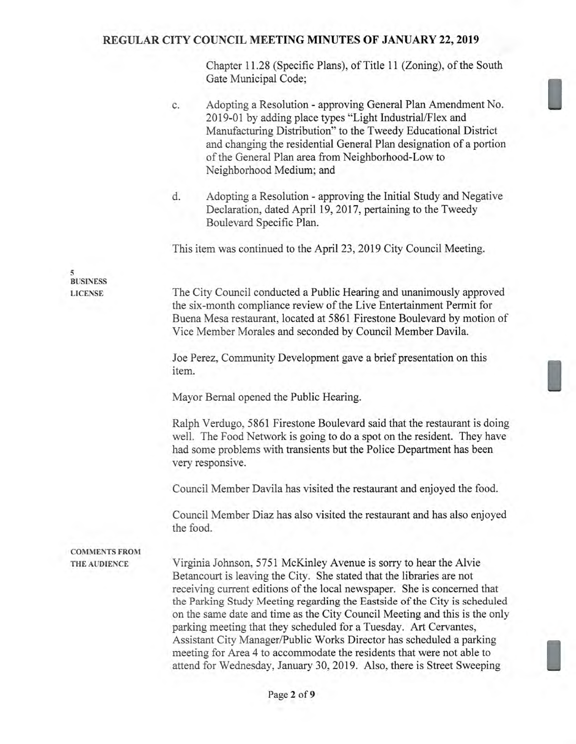Chapter 11.28 (Specific Plans), of Title 11 (Zoning), of the South Gate Municipal Code;

|                                             | Adopting a Resolution - approving General Plan Amendment No.<br>c.<br>2019-01 by adding place types "Light Industrial/Flex and<br>Manufacturing Distribution" to the Tweedy Educational District<br>and changing the residential General Plan designation of a portion<br>of the General Plan area from Neighborhood-Low to<br>Neighborhood Medium; and                                                                                                                                                                                                                                                                                                                           |  |  |  |  |
|---------------------------------------------|-----------------------------------------------------------------------------------------------------------------------------------------------------------------------------------------------------------------------------------------------------------------------------------------------------------------------------------------------------------------------------------------------------------------------------------------------------------------------------------------------------------------------------------------------------------------------------------------------------------------------------------------------------------------------------------|--|--|--|--|
|                                             | Adopting a Resolution - approving the Initial Study and Negative<br>d.<br>Declaration, dated April 19, 2017, pertaining to the Tweedy<br>Boulevard Specific Plan.                                                                                                                                                                                                                                                                                                                                                                                                                                                                                                                 |  |  |  |  |
|                                             | This item was continued to the April 23, 2019 City Council Meeting.                                                                                                                                                                                                                                                                                                                                                                                                                                                                                                                                                                                                               |  |  |  |  |
| 5<br><b>BUSINESS</b>                        |                                                                                                                                                                                                                                                                                                                                                                                                                                                                                                                                                                                                                                                                                   |  |  |  |  |
| <b>LICENSE</b>                              | The City Council conducted a Public Hearing and unanimously approved<br>the six-month compliance review of the Live Entertainment Permit for<br>Buena Mesa restaurant, located at 5861 Firestone Boulevard by motion of<br>Vice Member Morales and seconded by Council Member Davila.                                                                                                                                                                                                                                                                                                                                                                                             |  |  |  |  |
|                                             | Joe Perez, Community Development gave a brief presentation on this<br>item.                                                                                                                                                                                                                                                                                                                                                                                                                                                                                                                                                                                                       |  |  |  |  |
|                                             | Mayor Bernal opened the Public Hearing.                                                                                                                                                                                                                                                                                                                                                                                                                                                                                                                                                                                                                                           |  |  |  |  |
|                                             | Ralph Verdugo, 5861 Firestone Boulevard said that the restaurant is doing<br>well. The Food Network is going to do a spot on the resident. They have<br>had some problems with transients but the Police Department has been<br>very responsive.                                                                                                                                                                                                                                                                                                                                                                                                                                  |  |  |  |  |
|                                             | Council Member Davila has visited the restaurant and enjoyed the food.                                                                                                                                                                                                                                                                                                                                                                                                                                                                                                                                                                                                            |  |  |  |  |
|                                             | Council Member Diaz has also visited the restaurant and has also enjoyed<br>the food.                                                                                                                                                                                                                                                                                                                                                                                                                                                                                                                                                                                             |  |  |  |  |
| <b>COMMENTS FROM</b><br><b>THE AUDIENCE</b> | Virginia Johnson, 5751 McKinley Avenue is sorry to hear the Alvie<br>Betancourt is leaving the City. She stated that the libraries are not<br>receiving current editions of the local newspaper. She is concerned that<br>the Parking Study Meeting regarding the Eastside of the City is scheduled<br>on the same date and time as the City Council Meeting and this is the only<br>parking meeting that they scheduled for a Tuesday. Art Cervantes,<br>Assistant City Manager/Public Works Director has scheduled a parking<br>meeting for Area 4 to accommodate the residents that were not able to<br>attend for Wednesday, January 30, 2019. Also, there is Street Sweeping |  |  |  |  |

Page **2** of **9**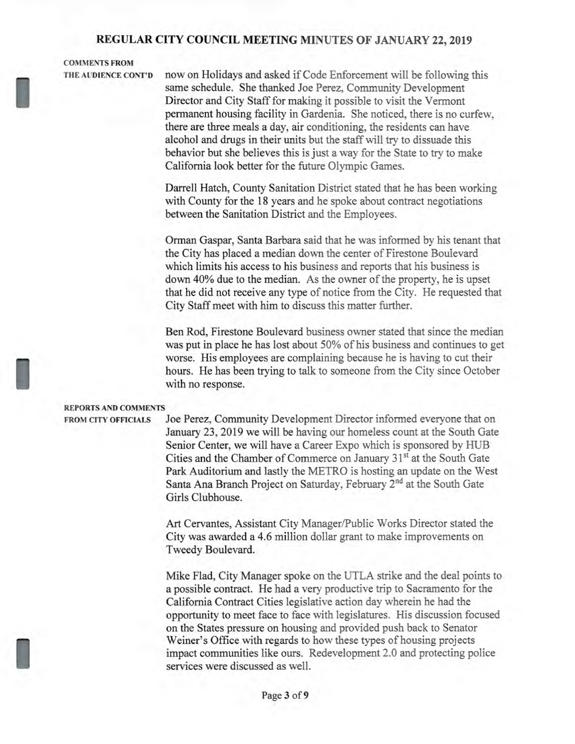# **COMMENTS FROM**

**THE AUDIENCE CONT'D** now on Holidays and asked if Code Enforcement will be following this same schedule. She thanked Joe Perez, Community Development Director and City Staff for making it possible to visit the Vermont permanent housing facility in Gardenia. She noticed, there is no curfew, there are three meals a day, air conditioning, the residents can have alcohol and drugs in their units but the staff will try to dissuade this behavior but she believes this is just a way for the State to try to make California look better for the future Olympic Games.

> Darrell Hatch, County Sanitation District stated that he has been working with County for the 18 years and he spoke about contract negotiations between the Sanitation District and the Employees.

Orman Gaspar, Santa Barbara said that he was informed by his tenant that the City has placed a median down the center of Firestone Boulevard which limits his access to his business and reports that his business is down 40% due to the median. As the owner of the property, he is upset that he did not receive any type of notice from the City. He requested that City Staff meet with him to discuss this matter further.

Ben Rod, Firestone Boulevard business owner stated that since the median was put in place he has lost about 50% of his business and continues to get worse. His employees are complaining because he is having to cut their hours. He has been trying to talk to someone from the City since October with no response.

### **REPORTS AND COMMENTS**

I

**FROM CITY OFFICIALS** Joe Perez, Community Development Director informed everyone that on January 23, 2019 we will be having our homeless count at the South Gate Senior Center, we will have a Career Expo which is sponsored by HUB Cities and the Chamber of Commerce on January 31<sup>st</sup> at the South Gate Park Auditorium and lastly the METRO is hosting an update on the West Santa Ana Branch Project on Saturday, February 2<sup>nd</sup> at the South Gate Girls Clubhouse.

> Art Cervantes, Assistant City Manager/Public Works Director stated the City was awarded a 4.6 million dollar grant to make improvements on Tweedy Boulevard.

Mike Flad, City Manager spoke on the UTLA strike and the deal points to a possible contract. He had a very productive trip to Sacramento for the California Contract Cities legislative action day wherein he had the opportunity to meet face to face with legislatures. His discussion focused on the States pressure on housing and provided push back to Senator Weiner's Office with regards to how these types of housing projects impact communities like ours. Redevelopment 2.0 and protecting police services were discussed as well.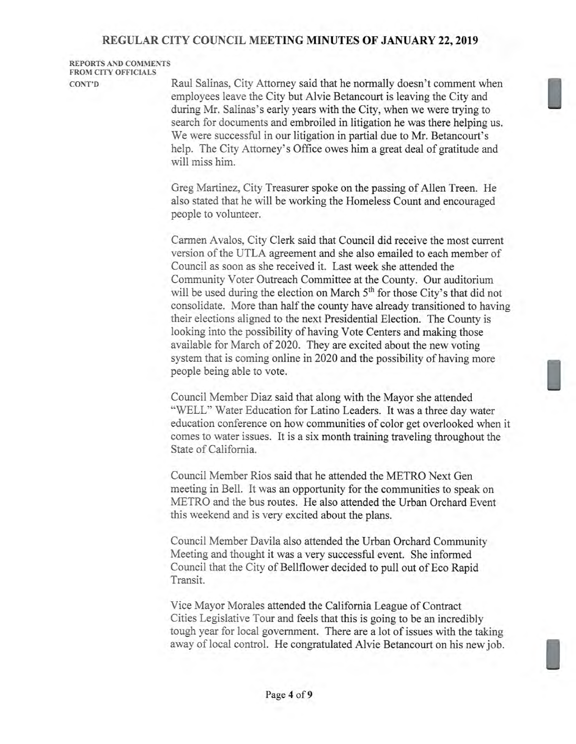#### **REPORTS AND COMMENTS FROM CITY OFFICIALS**

**CONT'D** Raul Salinas, City Attorney said that he normally doesn't comment when employees leave the City but Alvie Betancourt is leaving the City and during Mr. Salinas's early years with the City, when we were trying to search for documents and embroiled in litigation he was there helping us. We were successful in our litigation in partial due to Mr. Betancourt's help. The City Attorney's Office owes him a great deal of gratitude and will miss him.

> Greg Martinez, City Treasurer spoke on the passing of Allen Treen. He also stated that he will be working the Homeless Count and encouraged people to volunteer.

Carmen Avalos, City Clerk said that Council did receive the most current version of the UTLA agreement and she also emailed to each member of Council as soon as she received it. Last week she attended the Community Voter Outreach Committee at the County. Our auditorium will be used during the election on March 5<sup>th</sup> for those City's that did not consolidate. More than half the county have already transitioned to having their elections aligned to the next Presidential Election. The County is looking into the possibility of having Vote Centers and making those available for March of 2020. They are excited about the new voting system that is coming online in 2020 and the possibility of having more people being able to vote.

Council Member Diaz said that along with the Mayor she attended "WELL" Water Education for Latino Leaders. It was a three day water education conference on how communities of color get overlooked when it comes to water issues. It is a six month training traveling throughout the State of California.

Council Member Rios said that he attended the METRO Next Gen meeting in Bell. It was an opportunity for the communities to speak on METRO and the bus routes. He also attended the Urban Orchard Event this weekend and is very excited about the plans.

Council Member Davila also attended the Urban Orchard Community Meeting and thought it was a very successful event. She informed Council that the City of Bellflower decided to pull out of Eco Rapid Transit.

Vice Mayor Morales attended the California League of Contract Cities Legislative Tour and feels that this is going to be an incredibly tough year for local government. There are a lot of issues with the taking away of local control. He congratulated Alvie Betancourt on his new job.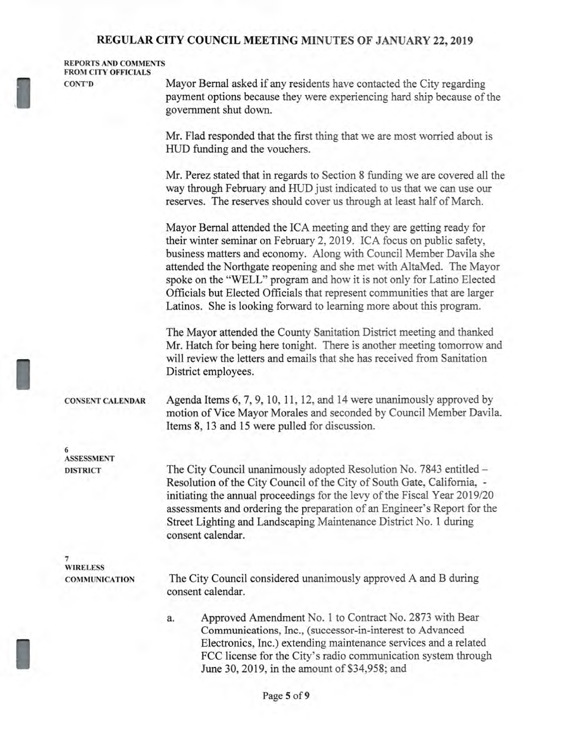#### **REPORTS AND COMMENTS FROM CITY OFFICIALS**

**CONT'D** Mayor Bernal asked if any residents have contacted the City regarding payment options because they were experiencing hard ship because of the government shut down.

> Mr. Flad responded that the first thing that we are most worried about is HUD funding and the vouchers.

Mr. Perez stated that in regards to Section 8 funding we are covered all the way through February and HUD just indicated to us that we can use our reserves. The reserves should cover us through at least half of March.

Mayor Bernal attended the ICA meeting and they are getting ready for their winter seminar on February 2, 2019. ICA focus on public safety, business matters and economy. Along with Council Member Davila she attended the Northgate reopening and she met with AltaMed. The Mayor spoke on the "WELL" program and how it is not only for Latino Elected Officials but Elected Officials that represent communities that are larger Latinos. She is looking forward to learning more about this program.

The Mayor attended the County Sanitation District meeting and thanked Mr. Hatch for being here tonight. There is another meeting tomorrow and will review the letters and emails that she has received from Sanitation District employees.

**CONSENT CALENDAR** Agenda Items 6, 7, 9, 10, 11, 12, and 14 were unanimously approved by motion of Vice Mayor Morales and seconded by Council Member Davila. Items 8, 13 and 15 were pulled for discussion.

**6 ASSESSMENT** 

**DISTRICT The City Council unanimously adopted Resolution No. 7843 entitled –** Resolution of the City Council of the City of South Gate, California, initiating the annual proceedings for the levy of the Fiscal Year 2019/20 assessments and ordering the preparation of an Engineer's Report for the Street Lighting and Landscaping Maintenance District No. 1 during consent calendar.

**7 WIRELESS** 

**COMMUNICATION** The City Council considered unanimously approved A and B during consent calendar.

> a. Approved Amendment No. 1 to Contract No. 2873 with Bear Communications, Inc., (successor-in-interest to Advanced Electronics, Inc.) extending maintenance services and a related FCC license for the City's radio communication system through June 30, 2019, in the amount of \$34,958; and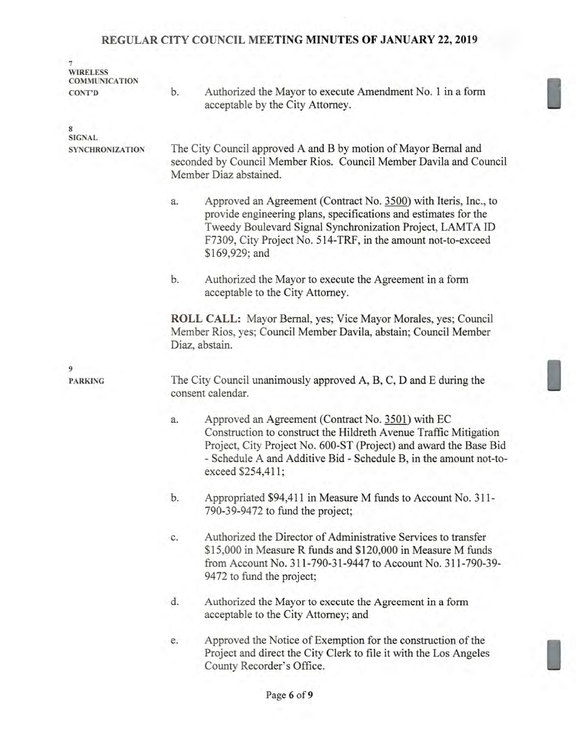| 7<br><b>WIRELESS</b><br>COMMUNICATION   |                                                                                                                                                                 |                                                                                                                                                                                                                                                                                      |  |  |  |
|-----------------------------------------|-----------------------------------------------------------------------------------------------------------------------------------------------------------------|--------------------------------------------------------------------------------------------------------------------------------------------------------------------------------------------------------------------------------------------------------------------------------------|--|--|--|
| CONT'D                                  | b.                                                                                                                                                              | Authorized the Mayor to execute Amendment No. 1 in a form<br>acceptable by the City Attorney.                                                                                                                                                                                        |  |  |  |
| 8                                       |                                                                                                                                                                 |                                                                                                                                                                                                                                                                                      |  |  |  |
| <b>SIGNAL</b><br><b>SYNCHRONIZATION</b> | The City Council approved A and B by motion of Mayor Bernal and<br>seconded by Council Member Rios. Council Member Davila and Council<br>Member Diaz abstained. |                                                                                                                                                                                                                                                                                      |  |  |  |
|                                         | a.                                                                                                                                                              | Approved an Agreement (Contract No. 3500) with Iteris, Inc., to<br>provide engineering plans, specifications and estimates for the<br>Tweedy Boulevard Signal Synchronization Project, LAMTA ID<br>F7309, City Project No. 514-TRF, in the amount not-to-exceed<br>\$169,929; and    |  |  |  |
|                                         | b.                                                                                                                                                              | Authorized the Mayor to execute the Agreement in a form<br>acceptable to the City Attorney.                                                                                                                                                                                          |  |  |  |
|                                         | ROLL CALL: Mayor Bernal, yes; Vice Mayor Morales, yes; Council<br>Member Rios, yes; Council Member Davila, abstain; Council Member<br>Diaz, abstain.            |                                                                                                                                                                                                                                                                                      |  |  |  |
| 9                                       |                                                                                                                                                                 |                                                                                                                                                                                                                                                                                      |  |  |  |
| <b>PARKING</b>                          | The City Council unanimously approved A, B, C, D and E during the<br>consent calendar.                                                                          |                                                                                                                                                                                                                                                                                      |  |  |  |
|                                         | a.                                                                                                                                                              | Approved an Agreement (Contract No. 3501) with EC<br>Construction to construct the Hildreth Avenue Traffic Mitigation<br>Project, City Project No. 600-ST (Project) and award the Base Bid<br>- Schedule A and Additive Bid - Schedule B, in the amount not-to-<br>exceed \$254,411; |  |  |  |
|                                         | b.                                                                                                                                                              | Appropriated \$94,411 in Measure M funds to Account No. 311-<br>790-39-9472 to fund the project;                                                                                                                                                                                     |  |  |  |
|                                         | c.                                                                                                                                                              | Authorized the Director of Administrative Services to transfer<br>\$15,000 in Measure R funds and \$120,000 in Measure M funds<br>from Account No. 311-790-31-9447 to Account No. 311-790-39-<br>9472 to fund the project;                                                           |  |  |  |
|                                         | d.                                                                                                                                                              | Authorized the Mayor to execute the Agreement in a form<br>acceptable to the City Attorney; and                                                                                                                                                                                      |  |  |  |
|                                         | e.                                                                                                                                                              | Approved the Notice of Exemption for the construction of the<br>Project and direct the City Clerk to file it with the Los Angeles<br>County Recorder's Office.                                                                                                                       |  |  |  |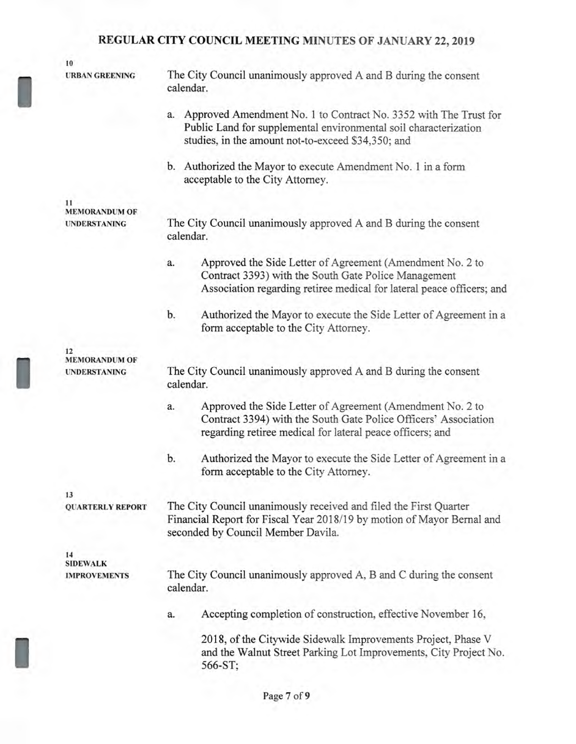|                                             | 10<br><b>URBAN GREENING</b>                 |                                                                                                                                                                                                  | The City Council unanimously approved A and B during the consent<br>calendar.                                                                                                              |  |  |  |
|---------------------------------------------|---------------------------------------------|--------------------------------------------------------------------------------------------------------------------------------------------------------------------------------------------------|--------------------------------------------------------------------------------------------------------------------------------------------------------------------------------------------|--|--|--|
|                                             |                                             | Approved Amendment No. 1 to Contract No. 3352 with The Trust for<br>a.<br>Public Land for supplemental environmental soil characterization<br>studies, in the amount not-to-exceed \$34,350; and |                                                                                                                                                                                            |  |  |  |
|                                             |                                             |                                                                                                                                                                                                  | b. Authorized the Mayor to execute Amendment No. 1 in a form<br>acceptable to the City Attorney.                                                                                           |  |  |  |
|                                             | 11                                          |                                                                                                                                                                                                  |                                                                                                                                                                                            |  |  |  |
| <b>MEMORANDUM OF</b><br><b>UNDERSTANING</b> |                                             | The City Council unanimously approved A and B during the consent<br>calendar.                                                                                                                    |                                                                                                                                                                                            |  |  |  |
|                                             |                                             | a.                                                                                                                                                                                               | Approved the Side Letter of Agreement (Amendment No. 2 to<br>Contract 3393) with the South Gate Police Management<br>Association regarding retiree medical for lateral peace officers; and |  |  |  |
|                                             |                                             | b.                                                                                                                                                                                               | Authorized the Mayor to execute the Side Letter of Agreement in a<br>form acceptable to the City Attorney.                                                                                 |  |  |  |
|                                             | 12                                          |                                                                                                                                                                                                  |                                                                                                                                                                                            |  |  |  |
|                                             | <b>MEMORANDUM OF</b><br><b>UNDERSTANING</b> | The City Council unanimously approved A and B during the consent<br>calendar.                                                                                                                    |                                                                                                                                                                                            |  |  |  |
|                                             |                                             | a.                                                                                                                                                                                               | Approved the Side Letter of Agreement (Amendment No. 2 to<br>Contract 3394) with the South Gate Police Officers' Association<br>regarding retiree medical for lateral peace officers; and  |  |  |  |
|                                             |                                             | b.                                                                                                                                                                                               | Authorized the Mayor to execute the Side Letter of Agreement in a<br>form acceptable to the City Attorney.                                                                                 |  |  |  |
|                                             | 13                                          |                                                                                                                                                                                                  |                                                                                                                                                                                            |  |  |  |
|                                             | <b>QUARTERLY REPORT</b>                     | The City Council unanimously received and filed the First Quarter<br>Financial Report for Fiscal Year 2018/19 by motion of Mayor Bernal and<br>seconded by Council Member Davila.                |                                                                                                                                                                                            |  |  |  |
|                                             | 14                                          |                                                                                                                                                                                                  |                                                                                                                                                                                            |  |  |  |
|                                             | <b>SIDEWALK</b><br><b>IMPROVEMENTS</b>      |                                                                                                                                                                                                  | The City Council unanimously approved A, B and C during the consent<br>calendar.                                                                                                           |  |  |  |
|                                             |                                             | a.                                                                                                                                                                                               | Accepting completion of construction, effective November 16,                                                                                                                               |  |  |  |
|                                             |                                             |                                                                                                                                                                                                  |                                                                                                                                                                                            |  |  |  |
|                                             |                                             |                                                                                                                                                                                                  | 2018, of the Citywide Sidewalk Improvements Project, Phase V<br>and the Walnut Street Parking Lot Improvements, City Project No.<br>566-ST;                                                |  |  |  |
|                                             |                                             |                                                                                                                                                                                                  |                                                                                                                                                                                            |  |  |  |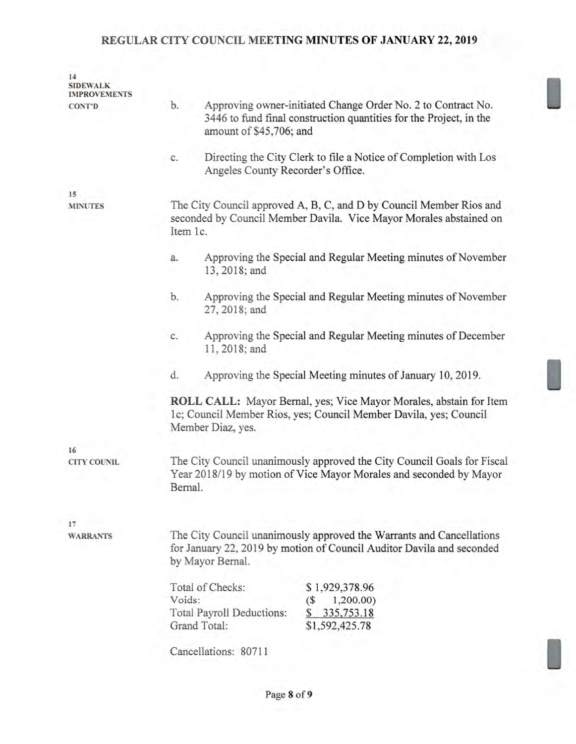| 14<br><b>SIDEWALK</b><br><b>IMPROVEMENTS</b> |                                                                                                                                                                   |                                                                                                                                                               |                                                                  |  |  |  |
|----------------------------------------------|-------------------------------------------------------------------------------------------------------------------------------------------------------------------|---------------------------------------------------------------------------------------------------------------------------------------------------------------|------------------------------------------------------------------|--|--|--|
| CONT'D                                       | b.                                                                                                                                                                | Approving owner-initiated Change Order No. 2 to Contract No.<br>3446 to fund final construction quantities for the Project, in the<br>amount of \$45,706; and |                                                                  |  |  |  |
|                                              | c.                                                                                                                                                                | Angeles County Recorder's Office.                                                                                                                             | Directing the City Clerk to file a Notice of Completion with Los |  |  |  |
| 15                                           |                                                                                                                                                                   |                                                                                                                                                               |                                                                  |  |  |  |
| <b>MINUTES</b>                               | The City Council approved A, B, C, and D by Council Member Rios and<br>seconded by Council Member Davila. Vice Mayor Morales abstained on<br>Item 1c.             |                                                                                                                                                               |                                                                  |  |  |  |
|                                              | a.                                                                                                                                                                | Approving the Special and Regular Meeting minutes of November<br>13, 2018; and                                                                                |                                                                  |  |  |  |
|                                              | b.                                                                                                                                                                | Approving the Special and Regular Meeting minutes of November<br>27, 2018; and                                                                                |                                                                  |  |  |  |
|                                              | c.                                                                                                                                                                | Approving the Special and Regular Meeting minutes of December<br>11, 2018; and                                                                                |                                                                  |  |  |  |
|                                              | d.                                                                                                                                                                | Approving the Special Meeting minutes of January 10, 2019.                                                                                                    |                                                                  |  |  |  |
|                                              | ROLL CALL: Mayor Bernal, yes; Vice Mayor Morales, abstain for Item<br>1c; Council Member Rios, yes; Council Member Davila, yes; Council<br>Member Diaz, yes.      |                                                                                                                                                               |                                                                  |  |  |  |
| 16                                           |                                                                                                                                                                   |                                                                                                                                                               |                                                                  |  |  |  |
| <b>CITY COUNIL</b>                           | The City Council unanimously approved the City Council Goals for Fiscal<br>Year 2018/19 by motion of Vice Mayor Morales and seconded by Mayor<br>Bernal.          |                                                                                                                                                               |                                                                  |  |  |  |
|                                              |                                                                                                                                                                   |                                                                                                                                                               |                                                                  |  |  |  |
| 17<br><b>WARRANTS</b>                        | The City Council unanimously approved the Warrants and Cancellations<br>for January 22, 2019 by motion of Council Auditor Davila and seconded<br>by Mayor Bernal. |                                                                                                                                                               |                                                                  |  |  |  |
|                                              | Voids:                                                                                                                                                            | Total of Checks:                                                                                                                                              | \$1,929,378.96<br>1,200.00)<br>$($ \$                            |  |  |  |
|                                              |                                                                                                                                                                   | Total Payroll Deductions:<br>Grand Total:                                                                                                                     | 335,753.18<br>S<br>\$1,592,425.78                                |  |  |  |
|                                              | Cancellations: 80711                                                                                                                                              |                                                                                                                                                               |                                                                  |  |  |  |
|                                              |                                                                                                                                                                   |                                                                                                                                                               |                                                                  |  |  |  |